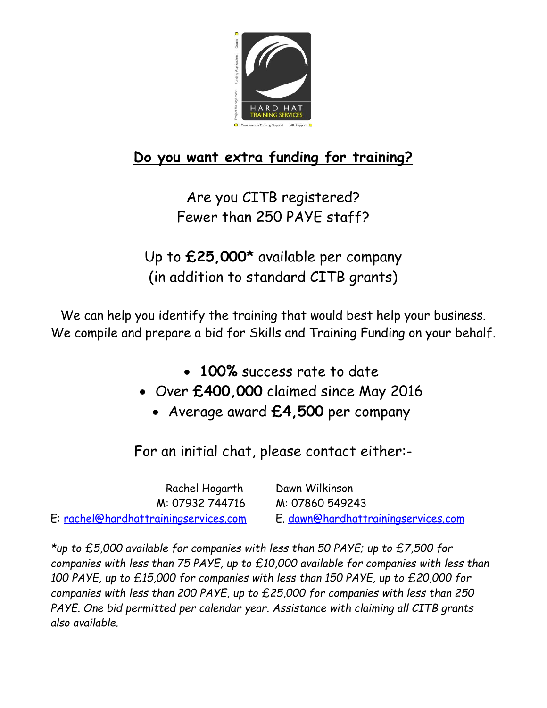

## **Do you want extra funding for training?**

Are you CITB registered? Fewer than 250 PAYE staff?

Up to **£25,000\*** available per company (in addition to standard CITB grants)

We can help you identify the training that would best help your business. We compile and prepare a bid for Skills and Training Funding on your behalf.

- **100%** success rate to date
- Over **£400,000** claimed since May 2016
	- Average award **£4,500** per company

For an initial chat, please contact either:-

 Rachel Hogarth Dawn Wilkinson M: 07932 744716 M: 07860 549243 E: [rachel@hardhattrainingservices.com](mailto:rachel@hardhattrainingservices.com) E. [dawn@hardhattrainingservices.com](mailto:dawn@hardhattrainingservices.com)

*\*up to £5,000 available for companies with less than 50 PAYE; up to £7,500 for companies with less than 75 PAYE, up to £10,000 available for companies with less than 100 PAYE, up to £15,000 for companies with less than 150 PAYE, up to £20,000 for companies with less than 200 PAYE, up to £25,000 for companies with less than 250 PAYE. One bid permitted per calendar year. Assistance with claiming all CITB grants also available.*